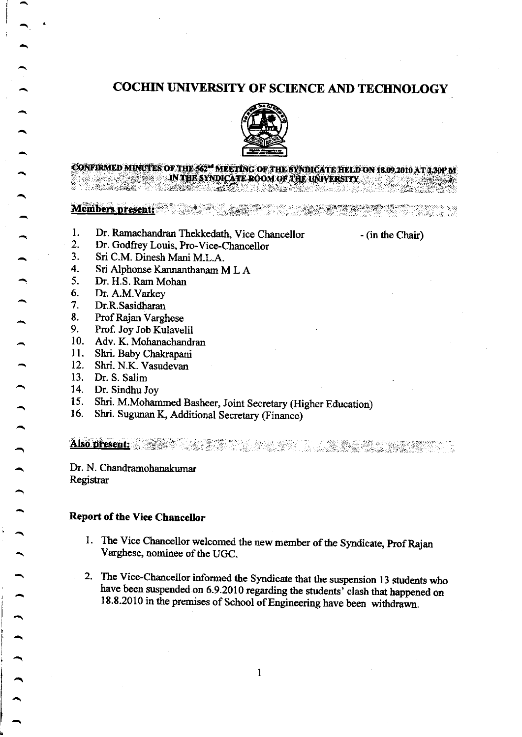# COCHIN UNIVERSITY OF SCIENCE AND TECHNOLOGY



# CONFIRMED MINUTES OF THE 562™ MEETING OF THE SYNDICATE HELD ON 18.09.2010 AT<br>. IN THE SYNDICATE ROOM OF THE UNIVERSITY  $\blacksquare$  ... IN THE SYNDICATE ROOM OF THE UNIVERSITY

lriffi ii,ii biaeiiiir:.:, . :.::,..,.:;.r' #i,ia,l:t', . :-,. .r ri\*1..x-;il',. Biit q\*;.T:i-'.' t:..',':-t,', -',

1. Dr. Ramachandran Thekkedath, Vice Chancellor - (in the Chair)

- $2.$ 3. Dr. Godfrey Louis, Pro-Vice-Chancellor
- Sri C.M. Dinesh Mani M.L.A.
- 4. Sri Alphonse Kannanthanam M L A
- 5. Dr. H.S. Ram Mohan
- 6. Dr. A.M.Varkey
- 7. Dr.R. Sasidharan
- 8. Prof Rajan Varghese
- 9. Prof. Joy Job Kulavelil
- 10. Adv. K. Mohanachandran
- $11.$ Shri. Baby Chakrapani
- 12. Shri. N.K. Vasudevan
- 13. Dr. S. Salim
- 14. Dr. Sindhu Joy
- 15. Shri. M.Moharnmed Basheer, Joint Secretary (Higher Education)
- 16. Shri. Sugunan K, Additional Secretary (Finance)

Also.nirsent: - . .i" .:r -

Dr. N. Chandramohanakumar Registrar

#### Report of the Vice Chancellor

- 1. The Vice Chancellor welcomed the new member of the Syndicate, Prof Rajan Varghese, nominee of the UGC.
- 2. The Vice-Chancellor informed the Syndicate that the suspension 13 students who have been suspended on 6.9.2010 regarding the students' clash that happened on 18.8.2010 in the premises of School of Engineering have been withdrawn.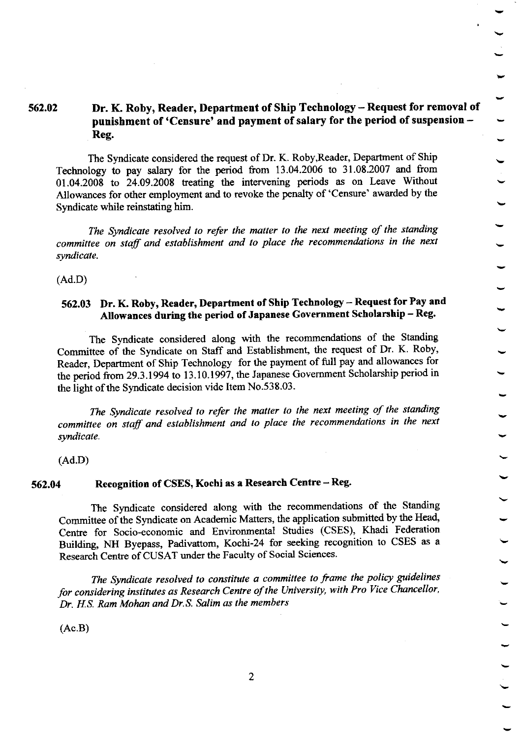# 562.02 Dr. K. Roby, Reader, Department of Ship Technology - Request for removal of punishment of 'Censure' and payment of salary for the period of suspension -Reg.

The Syndicate considered the request of Dr. K. Roby,Reader, Departrnent of Ship Technology to pay salary for the period from 13.04.2006 to 31.08.2007 and from 01.04.2008 to 24.09.2008 treating the intervening periods as on Leave Without Allowances for other employment and to revoke the penalty of'Censure' awarded by the Syndicate while reinstating him.

The Syndicate resolved to refer the matter to the next meeting of the standing committee on staff and establishment and to place the recommendations in the next syndicate.

(Ad.D)

#### 562.03 Dr. K. Roby, Reader, Department of Ship Technology - Request for Pay and Allowances during the period of Japanese Government Scholarship - Reg.

The Syndicate considered along with the recommendations of the Standing Committee of the Syndicate on Staff and Establishment, the request of Dr. K. Roby, Reader, Department of Ship Technology for the payment of full pay and allowances for the period from 29.3.1994 to 13.10.1997, the Japanese Government Scholarship period in the light of the Syndicate decision vide Item No.538.03.

The Syndicate resolved to refer the matter to the next meeting of the standing commitlee on staff and establishment and to place the recommendations in the next syndicate.

(Ad.D)

#### 562.04 Recognition of CSES, Kochi as a Research Centre - Reg'

The Syndicate considered along with the recommendations of the Standing Committee of the Syndicate on Academic Matters, the application submitted by the Head, Centre for Socio-economic and Environmental Studies (CSES), Khadi Federation Building, NH Byepass, Padivattom, Kochi-24 for seeking recognition to CSES as <sup>a</sup> Research Centre of CUSAT under the Faculty of Social Sciences.

The Syndicate resolved to constitute a committee to frame the policy guidelines for considering institutes as Research Centre of the University, with Pro Vice Chancellor, Dr. H.S. Ram Mohan and Dr.S. Salim as the members

(Ac.B)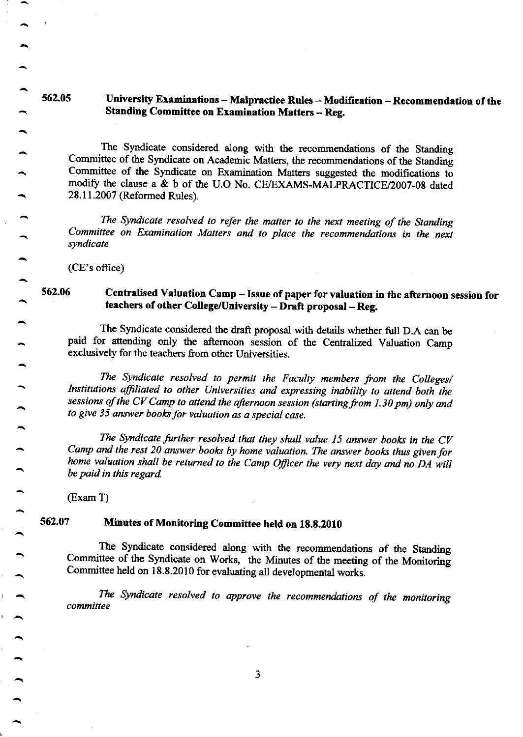#### 562.05 University Examinations - Malpractice Rules - Modification - Recommendation of the Standing Committee on Examination Matters - Reg.

The Syndicate considered along with the recommendations of the Standing committee of the Syndicate on Academic Matters, the recommendations of the Standing committee of the syndicate on Examination Matters suggested the modifications to modify the clause a & b of the U.O No. CE/EXAMS-MALPRACTICE/2007-08 dated 28.11.2007 (Reformed Rules).

The Syndicate resolved to refer the matter to the next meeting of the Standing Committee on Examination Matters and to place the recommendations in the next syndicate

(CE's office)

 $\overline{\phantom{a}}$ 

 $\overline{\phantom{a}}$ 

 $\overline{\phantom{0}}$ 

#### 562.06 Centralised Valuation Camp - Issue of paper for valuation in the aftemoon session for teachers of other College/University - Draft proposal - Reg.

The Syndicate considered the draft proposal with details whether full D.A can be paid for attending only the aftemoon session of the centralized valuation camp exclusively for the teachers from other Universities.

The Syndicate resolved to permit the Faculty members from the Colleges/ Institutions affiliated to other Universities and expressing inability to attend both the sessions of the CV Camp to attend the afternoon session (starting from 1.30 pm) only and to give 35 answer books for valuation as a special case.

The Syndicate further resolved that they shall value 15 answer books in the  $CV$ camp and the rest 20 answer books by home valuation The answer books thus given for home valuation shall be returned to the Camp Officer the very next day and no DA will be paid in this regard

 $(Exam T)$ 

## 562.07 Minutes of Monitoring Committec held on 18.8.2010

The Syndicate considered along with the recommendations of the Standing Committee of the Syndicate on Works, the Minutes of the meeting of the Monitoring Committee held on 18.8.2010 for evaluating all developmental works.

The Syndicate resolved to approve the recommendations of the monitoring committee

3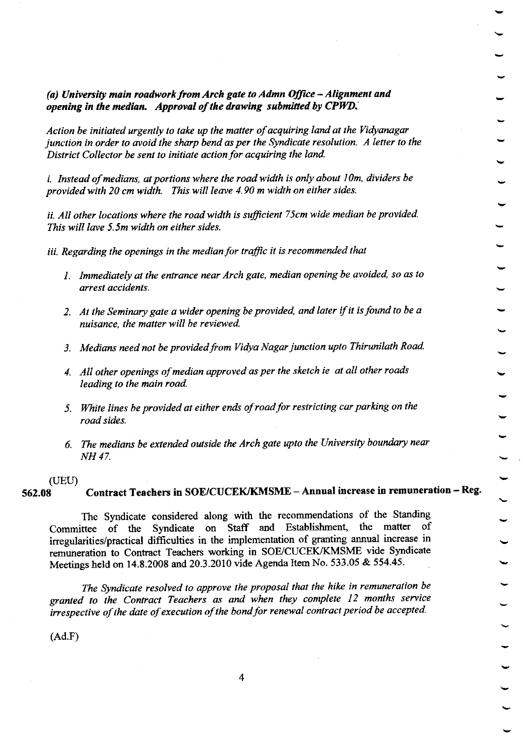(a) University main roadwork from Arch gate to Admn Office  $-A$ lignment and opening in the median. Approval of the drawing submitted by  $CPWD$ .

Action be initiated urgently to take up the matter of acquiring land at the Yidyanagar junction in order to avoid the sharp bend as per the Syndicate resolution. A letter to the District Collector be sent to initiate action for acquiring the land.

i. Instead of medians, at portions where the road width is only about 10m, dividers be provided with 20 cm width. This will leave 4.90 m width on either sides.

ii. All other locations where the road width is sufficient 75cm wide median be provided. This will lave 5.5m width on either sides.

iii. Regarding the openings in the median for taffic it is recommended that

- 1. Immediately at the entrance near Arch gate, median opening be avoided, so as to arrest accidents.
- 2. At the Seminary gate a wider opening be provided, and later if it is found to be a nuisance, the matter will be reviewed.
- 3. Medians need not be provided from Vidya Nagar junction upto Thirunilath Road.
- 4. All other openings of median approved as per the sketch ie at all other roads leading to the main road.
- 5. White lines be provided at either ends of road for restricting car parking on the road sides.
- $6.$  The medians be extended outside the Arch gate upto the University boundary near NH 47.

#### (UEU)

contract Teachers in soE/cucEK/KMSME - Annual increase in remuneration - Reg. 562.08

The Syndicate considered along with the recommendations of the Standing Committee of the Syndicate on Staff and Establishment, the matter of irregularities/practicat diffrculties in the implementation of granting annual increase in remuneration to Contract Teachers working in SOE/CUCEK/KMSME vide Syndicate Meetings held on 14.8.2008 and 20.3.2010 vide Agenda Item No. 533.05 & 554.45.

The Syndicate resolved to approve the proposal that the hike in remuneration be granted to the Contract Teachers as and when they complete 12 months service irrespective of the date of execution of the bond for renewal contract period be accepted.

 $(Ad.F)$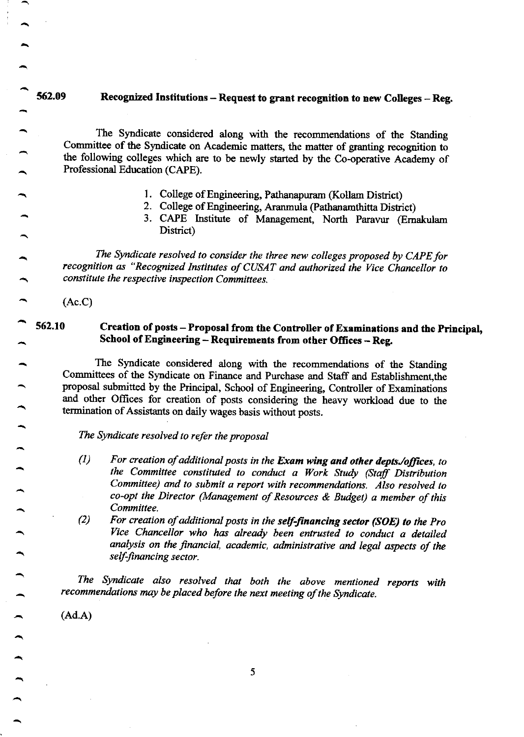## 562.09 Recognized Institutions - Request to grant recognition to new Colleges - Reg.

The Syndicate considered along with the recommendations of the Standing Committee of the Syndicate on Academic matters, the matter of granting recopition to the following colleges which are to be newly started by the Co-operative Academy of Professional Education (CAPE).

- l. College of Engrneering, pathanapuram (Kollam Distict)
- 2. College of Fngineering, Aranmula (Pathanamthitta District)
- 3. CAPE Institute of Management, North Paravur (Ernakulam District)

The Syndicate resolved to consider the three new colleges proposed by CAPE for recognition as "Recognized Institutes of CUSAT and authorized the Vice Chancellor to constitute the respective inspection Committees.

(Ac.C)

 $\overline{\phantom{0}}$ 

 $\overline{\phantom{0}}$ 

 $\overline{\phantom{0}}$ 

#### 552.10 Creation of posts - Proposal from the Controller of Examinations and the Principal, School of Engineering - Requirements from other Offices - Reg.

The Syndicate considered along with the recommendations of the Standing Committees of the Syndicate on Finance and Purchase and Staff and Establishment, the proposal submitted by the Principal, School of Engineering, Controller of Examinations and other Offices for creation of posts considering the heavy workload due to the termination of Assistants on daily wages basis without posts.

The Syndicate resolved to refer the proposal

- $(1)$  For creation of additional posts in the Exam wing and other depts./offices, to the Committee consfifited to conduct o Work Study (Staff Distribution Committee) and to submit a report with recommendations. Also resolved to co-opt the Director (Management of Resources & Budget) a member of this Committee.
- $(C)$  For creation of additional posts in the self-financing sector (SOE) to the Pro Yice Chancellor who has already been entrusted to conduct a detailed analysis on the financial, academic, administrative and legal aspects of the self-financing sector.

The Syndicate also resolyed that both the above mentioned reports with recommendations may be placed before the next meeting of the Syndicate.

(Ad.A)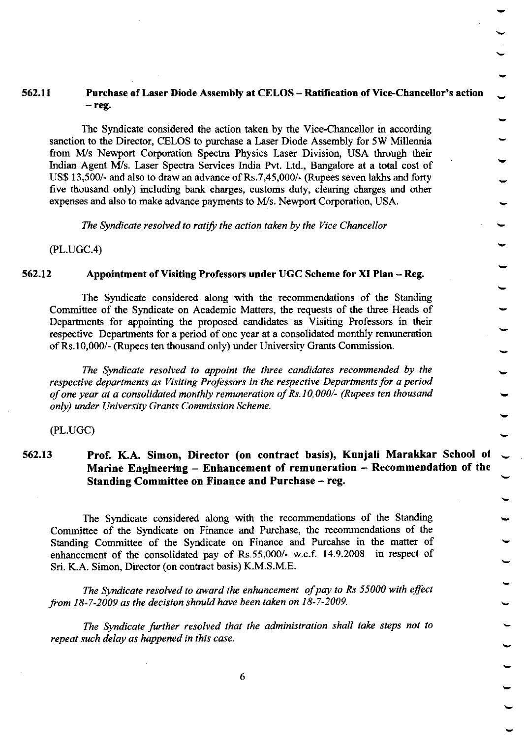#### 562,|t Purchase of Laser I)iode Assembly at CELOS - Ratification of Vice.Chancellor's action  $-$  reg.

The Syndicate considered the action taken by the Vice-Chancellor in according sanction to the Director, CELOS to purchase a Laser Diode Assembly for 5W Millennia from IWs Newport Corporation Spectra Physics Laser Division, USA through their Indian Agent M/s. Laser Spectra Services India Pvt. Ltd., Bangalore at a total cost of US\$ 13,500/- and also to draw an advance of Rs.7,45,000/- (Rupees seven lakhs and forty five thousand only) including bank charges, customs duty, clearing charges and other expenses and also to make advance payments to M/s. Newport Corporation, USA.

The Syndicate resolved to ratify the action taken by the Vice Chancellor

 $(PL.UGC.4)$ 

#### 562.12 Appointment of Visiting Professors under UGC Scheme for XI Plan - Reg.

The Syndicate considered along with the recommendations of the Standing Committee of the Syndicate on Academic Matters, the requests of the three Heads of Departments for appointing the proposed candidates as Visiting Professors in their respective Departrnents for a period of one year at a consolidated monthly remuneration ofRs.10,000/- (Rupees ten thousand only) under University Grants Commission.

The Syndicate resolved to appoint the three candidates recommended by the respective departments as Visiting Professors in the respective Departments for a period of one year at a consolidated monthly remuneration of Rs.  $10,000/$ - (Rupees ten thousand only) under University Grants Commission Scheme.

(PL.UGC)

## 562.13 Prof. K.A. Simon, Director (on contract basis), Kunjali Marakkar School of Marine Engineering  $-$  Enhancement of remuneration  $-$  Recommendation of the Standing Committee on Finance and Purchase - reg.

The Syndicate considered along with the recommendations of the Standing Committee of the Syndicate on Finance and Purchase, the recommendations of the Standing Committee of the Syndicate on Finance and Purcahse in the matter of enhancement of the consolidated pay of Rs.55,000/- w.e.f. 14.9.2008 in respect of Sri. K.A. Simon, Director (on contract basis) K.M.S.M.E.

The Syndicate resolved to award the enhancement of pay to Rs 55000 with effect from  $18-7-2009$  as the decision should have been taken on  $18-7-2009$ .

The Syndicate further resolved that the administration shall take steps not to repeat such delay as happened in this case.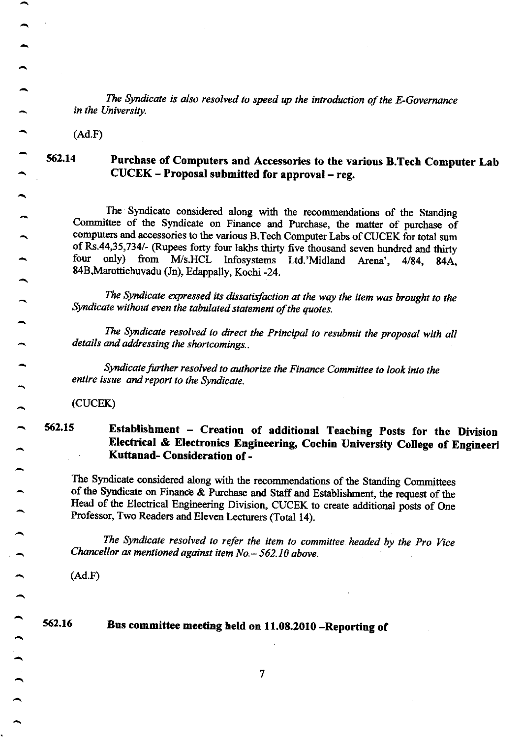The Syndicate is also resolved to speed up the introduction of the E-Governance in the University.

(Ad.F)

# 562.14 Purchase of Computers and Accessories to the various B.Tech Computer Lab CUCEK - Proposal submitted for approval - reg.

The Syndicate considered along with the recommendations of the Standing Committee of the Syndicate on Finance and Purchase, the matter of purchase of computers and accessories to the various B.Tech Computer Labs of CUCEK for total sum of Rs.44,35,734/- (Rupees forty four lakhs thirty five thousand seven hundred and thirty four only) from M/s.HCL Infosystems Ltd.'Midland Arena', 4/84, 84A, 84B,Marottichuvadu (Jn), Edappally, Kochi -24.

.<br>S The Syndicate expressed its dissatisfaction at the way the item was brought to the Syndicate without eyen the tabulated statement of the quotes.

The Syndicate resolved to direct the Principal to resubmit the proposal with all details and addressing the shortcomings..

Syndicate further resolved to authorize the Finance Committee to look into the entire issue and report to the Syndicate.

(cucEK)

# 562.15 Establishment - Creation of additional Teaching Posts for the Division Electrical & Electronics Engineering, cochin university college of Engineeri Kuttanad- Consideration of -

The Syndicate considered along with the recommendations of the Standing committees of the Syndicate on Finance & Purchase and Staff and Establishment, the request of the Head of the Electrical Engineering Division, CUCEK to create additional posts of One Professor, Two Readers and Eleven Lecturers (Total 14).

The Syndicate resolved to refer the item to committee headed by the Pro Vice Chancellor as mentioned against item  $No. - 562.10$  above.

(Ad.F)

#### Bus committee meeting held on 11.08.2010 -Reporting of 562.16

7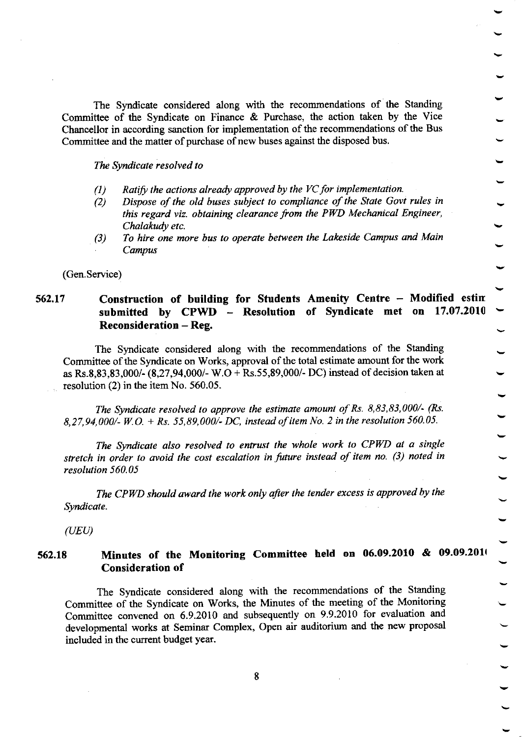The Syndicate considered along with the recommendations of the Standing Committee of the Syndicate on Finance & Purchase, the action taken by the Vice Chancellor in according sanction for implementation of the recommendations of the Bus Committee and the matter of purchase of new buses against the disposed bus.

The Syndicate resolved to

- (1) Ratify the actions already approved by the VC for implementation.
- (2) Dispose of the old buses subject to compliance of the State Govt rules in this regard viz. obtaining clearance from the PWD Mechanical Engineer, Chalakudy etc.
- To hire one more bus to operate between the Lakeside Campus and Main Campus  $(3)$

(Gen.Service)

#### 562.17 Construction of building for Students Amenity Centre - Modified estin submitted by CPWD - Resolution of Syndicate met on 17.07.2010 Reconsideration - Reg.

The Syndicate considered along with the recommendations of the Standing Committee of the Syndicate on Works, approval of the total estimate amount for the work as Rs.8,83,83,000/- (8,27,94,000/- W.O + Rs.55,89,000/- DC) instead of decision taken at resolution (2) in the item No. 560.05.

The Syndicate resolved lo approve the estimate amount of Rs. 8,83,83,000/- (Rs. 8,27,94,000/- W.O. + Rs. 55,89,000/- DC, instead of item No. 2 in the resolution 560.05.

The Syndicate also resolved to entrust the whole work to CPWD at a single stretch in order to avoid the cost escalation in future instead of item no. (3) noted in resolution 560.05

The CPWD should award the work only after the tender excess is approved by the Syndicate.

 $(UEU)$ 

#### 562.18 Minutes of the Monitoring Committee held on 06.09.2010 & 09.09.2010 Consideration of

The Syndicate considered along with the recommendations of the Standing Committee of the Syndicate on Works, the Minutes of the meeting of the Monitoring committee convened on 6.9.2010 and subsequently on 9.9.2010 for evaluation and developmental works at Seminar Complex, Open air auditorium and the new proposal included in the current budget year.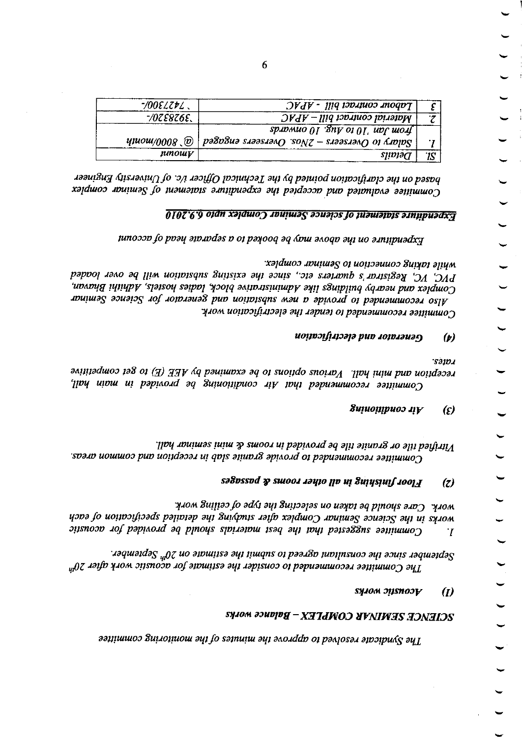#### $X$ acle $X$ acu $W$ in $Y$ d $X$ o $\lambda$ a $Y$ d $\lambda$ y $X$  w $\lambda$ y $X$

#### $s$ yiom  $p$ isno $\mathcal{V}$  (1)

per since the commentation of the estimate on  $\mathfrak{M}^n$  September  $\mathfrak{M}^n$  be construented to construction of  $\mathfrak{M}^n$  $\mu$ aquestadag  $g_{\mu}$ o aprugnadag aqt  $\mu$  ituque o $\mu$  baad $\sigma$ a baayaag aqt 4 ayr 4 ayr 4 ayr 4 ayr 4 ayr 4 ayr 4 ayr 4 ayr 4 ayr 4 ayr 4 ayr 4 ayr 4 ayr 4 ayr 4 ayr 4 ayr 4 ayr 4 ayr 4 ayr 4 ayr 4 ayr 4 ayr 4 ayr 4 ay

how Suutatlo addi aqtee uo ualplas aq pluo sub addinibut work. works in the Science Seminar Complex after suiding and seteiled speiled to word of each  $I<sub>i</sub>$  Committee suggested that the best materials should by positional por acoustic

#### satoss of  $\bm{v}$  sutool to the nondegeneration of  $\bm{s}$

Vitrified tile or granite tile be provided in rooms & mini seminar hall. soato uouuoc pun uotldacat ut qols ayuot8 aptdotd o7 papuawuocal ao ruuoJ

#### gninoitibnoc  $i \hbar$  (*t*)

.saroJ aniitaduoc tag ot  $\langle A \rangle$  dha bautumaa aq ot suotido suotu $\mathcal{N}$ . lipy inim pup uotidacat Unimittee recommendati baha Air conditioning be papivale hall,

#### $u$ oltocha puo deciri $p$ ana politika puo

xalduos apuitos ot uoitisauuos guiden ajum PVC, VC, Registrar's quarters etc., since the existing substation will be over loaded Complex and nearby building saturational lipologic lagies hostels, Adhithi Bhavan, Also recommended to provide a new substation and generator for Science Seminar Committee recommended to tender the electrification work.

tunocco fo poay a1o.todas o o1 pa400q aq &bu a^oqo ayt uo a.n.iipuadx $\pi$ 

#### $\overline{0107}$ '6'9 01dn xəldwo $\overline{0}$  ibuiyuə $\overline{S}$  ədvəids jo juawajbis əinipuəd $\overline{\overline{X}}$

naus on the claritoral pointed by the Technical Officer i/c. of University Engineer xalduoo nuluwag so nuauannis annipuadxa ayi paidacon pub paimpaa aaniiuuo

| $-$ 10081271         | $DVdV$ - $111q$ top theory bill                                                                                          |         |
|----------------------|--------------------------------------------------------------------------------------------------------------------------|---------|
| $-70$ TE8Z6E.        | $D V dV$ - $\eta$ $q$ $p$ $p$ $p$ $p$ $p$ $p$ $p$ $p$                                                                    | $\cdot$ |
|                      | $\frac{1}{2}$ sp. of $\frac{1}{2}$ of $\frac{1}{2}$ of $\frac{1}{2}$ of $\frac{1}{2}$ of $\frac{1}{2}$ and $\frac{1}{2}$ |         |
| <i>นุนงน/</i> 0008 @ | $\alpha$ polar) to Oversecrs — TN0s. Oversers engaget $\beta$                                                            | .,      |
| junowy               | sjidjəct                                                                                                                 | 1S      |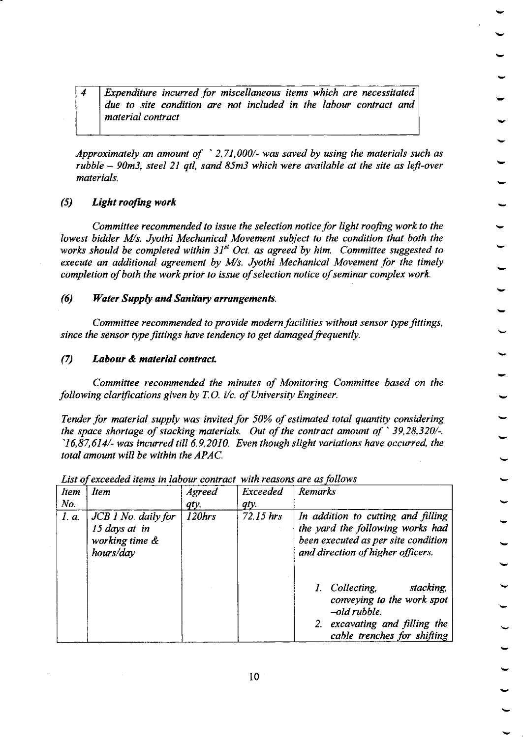4 Expenditure incurred for miscellaneous items which are necessitated due to site condition are not included in the labour contract and material contract

Approximately an amount of  $\degree$  2,71,000/- was saved by using the materials such as rubble  $-$  90m3, steel 21 qtl, sand 85m3 which were available at the site as left-over materials.

#### (5) Light roofing work

Committee recommended to issue the selection notice for light roofing work to the lowest bidder M/s. Jyothi Mechanical Movement subject to the condition that both the works should be completed within  $31^{st}$  Oct. as agreed by him. Committee suggested to execute an additional agreement by  $M/s$ . Jyothi Mechanical Movement for the timely completion of both the work prior to issue of selection notice of seminar complex work.

#### (6) Water Supply and Sanitary arrangements

Committee recommended to provide modern facilities without sensor type fittings, since the sensor type fittings have tendency to get damaged frequently.

 $(7)$  Labour & material contract.

Committee recommended the minutes of Monitoring Committee based on the following clarifications given by  $T.O.$  i/c. of University Engineer.

Tender for material supply was invited for 50% of estimated total quantity considering the space shortage of stacking materials. Out of the contract amount of  $\degree$  39,28,320/-.  $16,87,614/$ -was incurred till 6.9.2010. Even though slight variations have occurred, the total amount will be within the APAC.

| <b>Item</b> | Item                                                                  | Agreed    | Exceeded    | Remarks                                                                                                                                                                                                                                                                                            |
|-------------|-----------------------------------------------------------------------|-----------|-------------|----------------------------------------------------------------------------------------------------------------------------------------------------------------------------------------------------------------------------------------------------------------------------------------------------|
| No.         |                                                                       | qty.      | qty.        |                                                                                                                                                                                                                                                                                                    |
| <i>I.a.</i> | $JCB$ 1 No. daily for<br>15 days at in<br>working time &<br>hours/day | $120$ hrs | $72.15$ hrs | In addition to cutting and filling<br>the yard the following works had<br>been executed as per site condition<br>and direction of higher officers.<br>stacking,<br>1. Collecting,<br>conveying to the work spot<br>$-$ old rubble.<br>2. excavating and filling the<br>cable trenches for shifting |

List of exceeded items in labour contract with reasons are as follows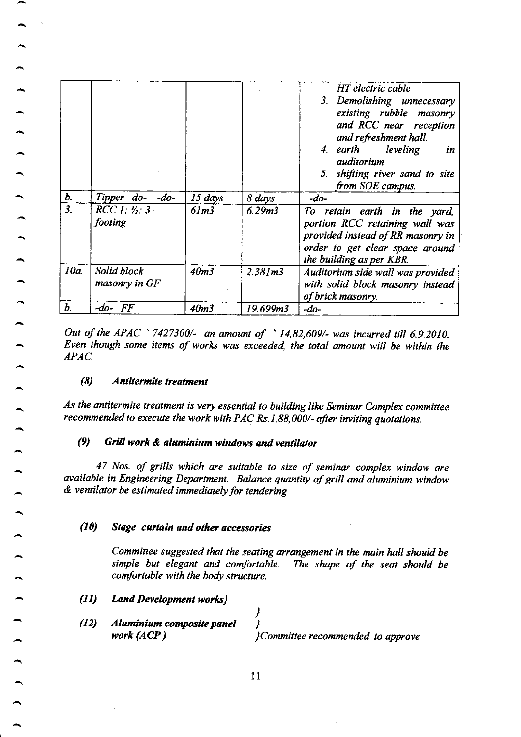|                           |                              |                  |                     | HT electric cable<br>3. Demolishing unnecessary<br>existing rubble masonry<br>and RCC near reception<br>and refreshment hall.<br>4. earth leveling<br>in<br>auditorium<br>5. shifting river sand to site<br>from SOE campus. |
|---------------------------|------------------------------|------------------|---------------------|------------------------------------------------------------------------------------------------------------------------------------------------------------------------------------------------------------------------------|
| $\bm{b}$ .                | Tipper- $do-$ - $do-$        | $15 \, days$     | 8 days              | $-do-$                                                                                                                                                                                                                       |
| $\overline{\mathbf{3}}$ . | $RCC 1: 7:3 -$<br>footing    | 61m3             | 6.29 <sub>m3</sub>  | To retain earth in the yard,<br>portion RCC retaining wall was<br>provided instead of RR masonry in<br>order to get clear space around<br>the building as per KBR.                                                           |
| 10a                       | Solid block<br>masonry in GF | 40 <sub>m3</sub> | 2.381 <sub>m3</sub> | Auditorium side wall was provided<br>with solid block masonry instead<br>of brick masonry.                                                                                                                                   |
| Ъ.                        | -do- FF                      | 40 <sub>m3</sub> | 19.699m3            | $-do-$                                                                                                                                                                                                                       |

Out of the APAC ' 7427300/- an amount of ' 14,82,609/- was incwred till 6.9.2010. Even though some items of works was exceeded, the total amount will be within the APAC.

#### (8) Antitermite treatment

As the antitermite treatment is very essential to building like Seminar Complex committee recommended to execute the work with PAC Rs.1,88,000/- after inviting quotations.

#### (9) Grill worh & aluniniun windows and ventilator

47 Nos. of grills which are suitable to size of seminar complex window are available in Engineering Department. Balance quantity of grill and aluminium window & ventilator be estimated immediately for tendering

#### (10) Stage curtain and other accessories

Committee suggested that the seating arrangement in the main hall should be simple but elegant and comfortable. The shape of the seat should be comfortable with the body structure.

- Land Development works}  $(11)$
- Alaniniun composite panel work (ACP ) ) ) ] Committee recommended to approve(12)

11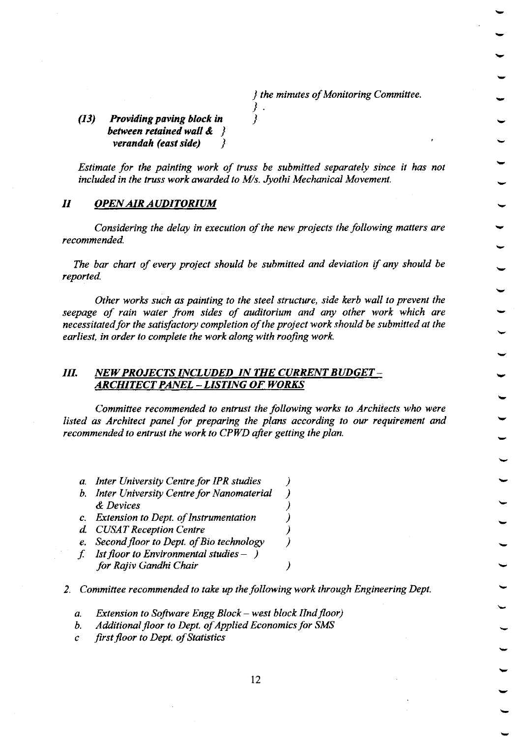) the minutes of Monitoring Committee.

Q3) Providing paving block in between retained wall  $\&\quad$ verandah (east side)

Estimate for the painting work of truss be submitted separately since it has not included in the truss work awarded to Ws. Jyothi Mechanical Movement.

 $\}$ I

#### II OPEN AIR AUDITORIUM

Considering the delay in execution of the new projects the following matters are recommended.

The bar chart of every project should be submitted and deviation if any should be reported.

Other works such as painting to the steel structure, side kerb wall to prevent the seepage of rain water from sides of auditorium and any other work which are necessitated for the satisfactory completion of the project work should be submitted at the earliest, in order to complete the work along with roofing work.

#### III. NEW PROJECTS INCLUDED IN THE CURRENT BUDGET-ARCHITECT PANEL - LISTING OF WORKS

Committee recommended to entrust the following works to Architects who were listed as Architect panel for preparing the plans according to our requirement and recommended to entrust the work to CPWD after getting the plan.

- a. Inter University Centre for IPR studies (a. 1)<br>b. Inter University Centre for Nanomaterial (b. 1)
- b. Inter University Centre for Nanomaterial & Devices (b)<br>Extension to Dept. of Instrumentation (b)
- c. Extension to Dept. of Instrumentation
- 
- d. CUSAT Reception Centre (b)<br>
e. Second floor to Dept. of Bio technology (b) e. Second floor to Dept. of Bio technology
- f. Ist floor to Environmental studies  $-$  ) for Rajiv Gandhi Chair

2. Committee recommended to take up the following work through Engineering Dept.

- a. Extension to Software Engg Block west block IInd floor)<br>b. Additional floor to Dept. of Applied Economics for SMS<br>c. first floor to Dent. of Statistics
- 
- first floor to Dept. of Statistics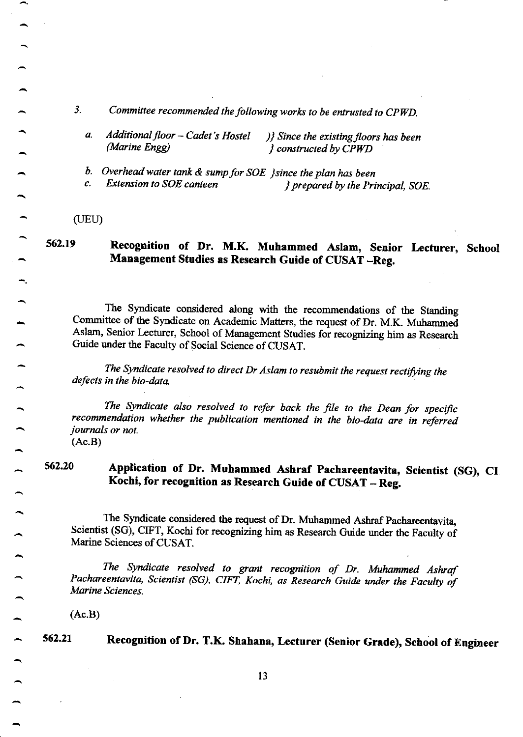- 3. Committee recommended the following works to be entrusted to CPWD.
	- Additional floor Cadet's Hostel  $\bigcup$  Since the existing floors has been<br>(Marine Engg)  $\bigcup$  constructed by CPWD  $\Omega$  constructed by CPWD a.
	- b. Overhead water tank  $\&$  sump for SOE  $\}$ since the plan has been c. Extension to SOE canteen  $\qquad \qquad$  renared by the Pri

 $\ell$  prepared by the Principal, SOE.

 $(UEU)$ 

562.19

# Recognition of Dr. M.K. Muhammed Aslam, Senior Lecturer, School Management Studies as Research Guide of CUSAT -Reg.

The Syndicate considered along with the recommendations of the Standing Committee of the Syndicate on Academic Matters, the request of Dr. M.K. Muhammed Aslam, Senior Lecturer, School of Management studies for recognizing him as Research Guide under the Faculty of Social Science of CUSAT.

The Syndicate resolved to direct Dr Aslam to resubmit the request rectifying the defects in the bio-data.

The Syndicate also resolved to refer back the file to the Dean for specific recommendation whether the publication mentioned in the bio-data are in referred journals or not. (Ac.B)

#### 56220 Application of Dr. Muhammed Ashraf Pachareentavita, Scientist (SG), CI Kochi, for recognition as Research Guide of CUSAT - Reg.

The Syndicate considered the request of Dr. Muhammed Ashraf Pachareentavita, Scientist (sG), CIFT, Kochi for recopizing him as Research Guide under the Faculty of Marine Sciences of CUSAT.

The Syndicate resolved to grant recognition of Dr. Muhammed Ashraf Pachareentavita, Scientist (SG), CIFT, Kochi, as Research Guide under the Faculty of Marine Sciences.

(Ac.B)

s62.21 Recognition of Dr. T.K. Shahana, Lecturer (Senior Grade), School of Engineer

l3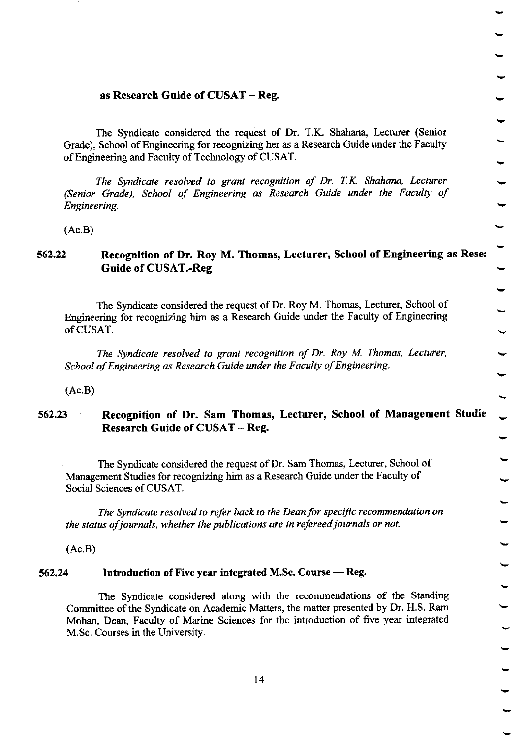#### as Research Guide of CUSAT - Reg.

The Syndicate considered the request of Dr. T.K. Shahana, Lecturer (Senior Grade), School of Engineering for recognizing her as a Research Guide under the Faculty of Engineering and Faculty of Technology of CUSAT.

The Syndicate resolved lo grant recognition of Dr. T.K. Shahana, Iecturer (Senior Grade), School of Engineering as Research Guide under the Faculty of Engineering.

(Ac.B)

#### 562.22 Recognition of Dr. Roy M. Thomas, Lecturer, School of Engineering as Reset Guide of CUSAT.-Reg

The Syndicate considered the request of Dr. Roy M. Thomas, Lecturer, School of Engineering for recognizing him as a Research Guide under the Faculty of Engineering ofCUSAT.

The Syndicate resolved to grant recognition of Dr. Roy M. Thomas, Lecturer, School of Engineering as Research Guide under the Faculty of Engineering.

(Ac.B)

#### 562.23 Recognition of Dr. Sam Tbomas, Lecturer, School of Management Studie Research Guide of CUSAT - Reg.

The Syndicate considered the request of Dr. Sam Thomas, Lecturer, School of Management Studies for recogrizing him as a Research Guide under the Faculty of Social Sciences of CUSAT.

The Syndicate resolved to refer back lo the Deon for specific recommendation on the status of journals, whether the publications are in refereed journals or not.

(Ac.B)

# 562.24 Introduction of Five year integrated M.Sc. Course — Reg.

The Syndicate considered along with the recommendations of the Standing Committee of the Syndicate on Academic Matters, the matter presented by Dr. H.S. Ram Mohan, Dean, Faculty of Marine Sciences for the introduction of five year integrated M.Sc. Courses in the University.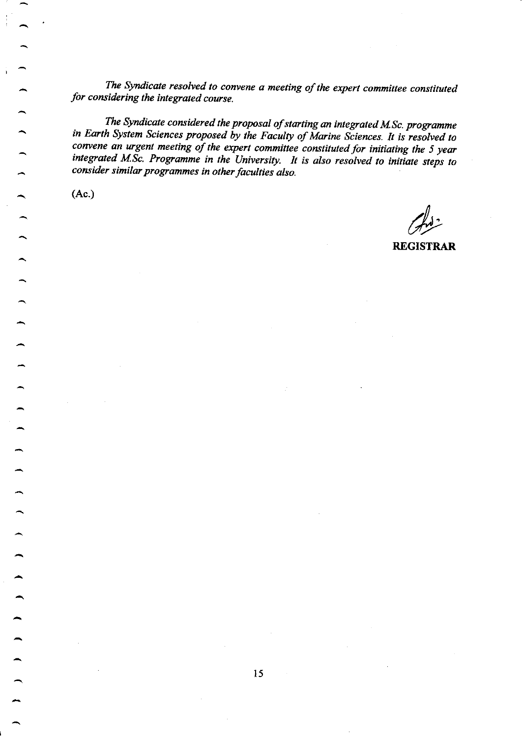The Syndicate resolved to convene a meeting of the expert committee constituted for considering the integrated course.

The Syndicate considered the proposal of starting an integrated M.Sc. programme in Earth System Sciences proposed by the Faculty of Marine Sciences. It is resolved to convene an urgent meeting of the expert committee constituted for initiating the 5 year integrated M.Sc. Programme in the University. It is also resolved to initiate steps to consider similar programmes in other facalties also.

(Ac.)

REGISTRAR